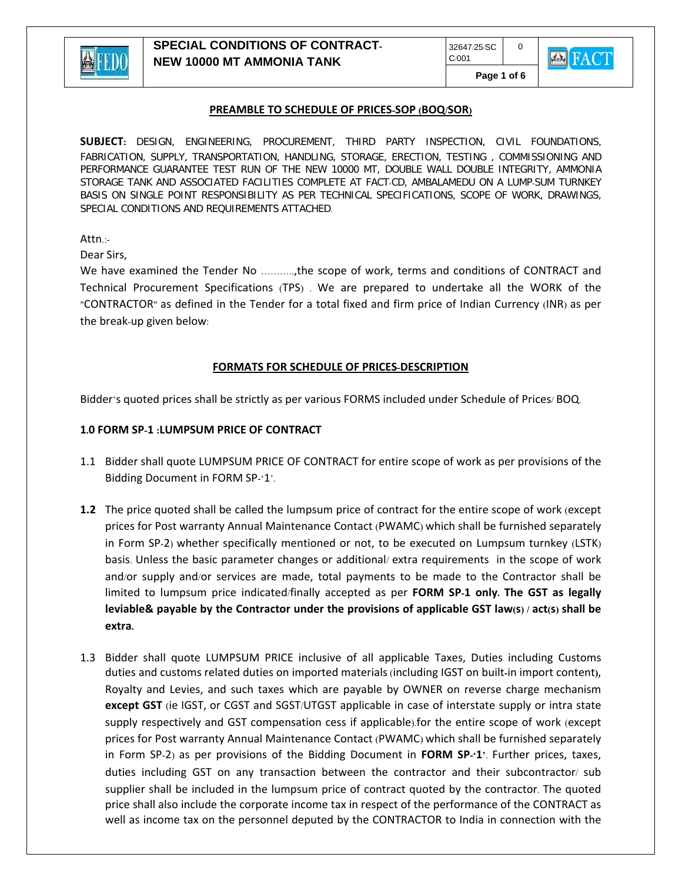

**Page 1 of 6** 

 $\Omega$ 

**KER FACT** 

#### **PREAMBLE TO SCHEDULE OF PRICES-SOP (BOQ/SOR)**

**SUBJECT:** DESIGN, ENGINEERING, PROCUREMENT, THIRD PARTY INSPECTION, CIVIL FOUNDATIONS, FABRICATION, SUPPLY, TRANSPORTATION, HANDLING, STORAGE, ERECTION, TESTING , COMMISSIONING AND PERFORMANCE GUARANTEE TEST RUN OF THE NEW 10000 MT, DOUBLE WALL DOUBLE INTEGRITY, AMMONIA STORAGE TANK AND ASSOCIATED FACILITIES COMPLETE AT FACT-CD, AMBALAMEDU ON A LUMP-SUM TURNKEY BASIS ON SINGLE POINT RESPONSIBILITY AS PER TECHNICAL SPECIFICATIONS, SCOPE OF WORK, DRAWINGS, SPECIAL CONDITIONS AND REQUIREMENTS ATTACHED.

Attn.:-

Dear Sirs,

We have examined the Tender No ..........,the scope of work, terms and conditions of CONTRACT and Technical Procurement Specifications (TPS) . We are prepared to undertake all the WORK of the "CONTRACTOR" as defined in the Tender for a total fixed and firm price of Indian Currency (INR) as per the break-up given below:

## **FORMATS FOR SCHEDULE OF PRICES-DESCRIPTION**

Bidder's quoted prices shall be strictly as per various FORMS included under Schedule of Prices/ BOQ.

#### **1.0 FORM SP-1 :LUMPSUM PRICE OF CONTRACT**

- 1.1 Bidder shall quote LUMPSUM PRICE OF CONTRACT for entire scope of work as per provisions of the Bidding Document in FORM SP-'1'.
- **1.2** The price quoted shall be called the lumpsum price of contract for the entire scope of work (except prices for Post warranty Annual Maintenance Contact (PWAMC) which shall be furnished separately in Form SP-2) whether specifically mentioned or not, to be executed on Lumpsum turnkey (LSTK) basis. Unless the basic parameter changes or additional/ extra requirements in the scope of work and/or supply and/or services are made, total payments to be made to the Contractor shall be limited to lumpsum price indicated/finally accepted as per **FORM SP-1 only. The GST as legally** leviable & payable by the Contractor under the provisions of applicable GST law(s) / act(s) shall be **extra.**
- 1.3 Bidder shall quote LUMPSUM PRICE inclusive of all applicable Taxes, Duties including Customs duties and customs related duties on imported materials (including IGST on built**-**in import content**)**, Royalty and Levies, and such taxes which are payable by OWNER on reverse charge mechanism **except GST** (ie IGST, or CGST and SGST/UTGST applicable in case of interstate supply or intra state supply respectively and GST compensation cess if applicable).for the entire scope of work (except prices for Post warranty Annual Maintenance Contact (PWAMC) which shall be furnished separately in Form SP-2) as per provisions of the Bidding Document in **FORM SP-'1'**. Further prices, taxes, duties including GST on any transaction between the contractor and their subcontractor/ sub supplier shall be included in the lumpsum price of contract quoted by the contractor. The quoted price shall also include the corporate income tax in respect of the performance of the CONTRACT as well as income tax on the personnel deputed by the CONTRACTOR to India in connection with the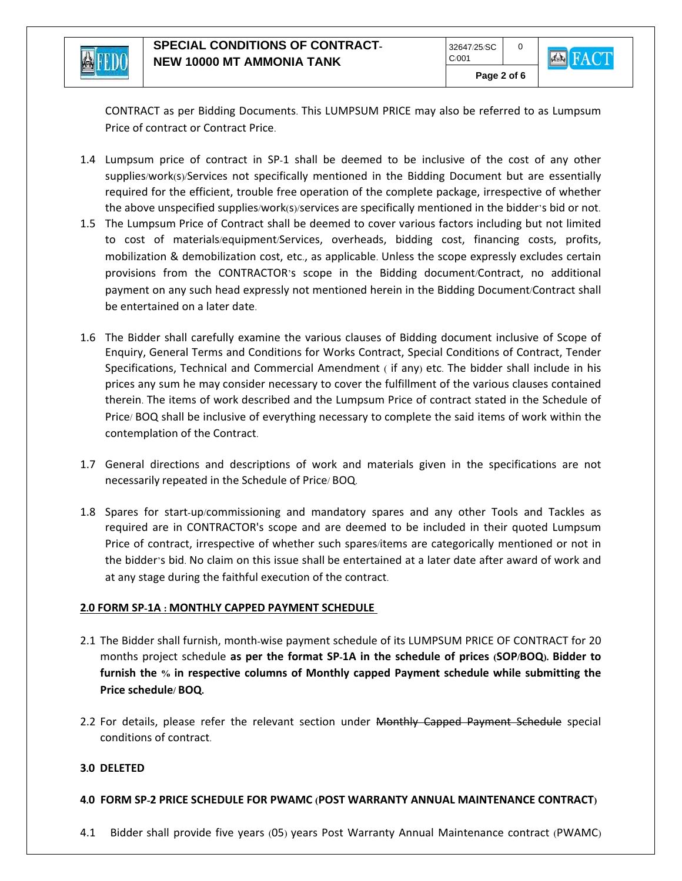

**Page 2 of 6** 

 $\Omega$ 

**EX** FACT

CONTRACT as per Bidding Documents. This LUMPSUM PRICE may also be referred to as Lumpsum Price of contract or Contract Price.

- 1.4 Lumpsum price of contract in SP-1 shall be deemed to be inclusive of the cost of any other supplies/work(s)/Services not specifically mentioned in the Bidding Document but are essentially required for the efficient, trouble free operation of the complete package, irrespective of whether the above unspecified supplies/work(s)/services are specifically mentioned in the bidder's bid or not.
- 1.5 The Lumpsum Price of Contract shall be deemed to cover various factors including but not limited to cost of materials/equipment/Services, overheads, bidding cost, financing costs, profits, mobilization & demobilization cost, etc., as applicable. Unless the scope expressly excludes certain provisions from the CONTRACTOR's scope in the Bidding document/Contract, no additional payment on any such head expressly not mentioned herein in the Bidding Document/Contract shall be entertained on a later date.
- 1.6 The Bidder shall carefully examine the various clauses of Bidding document inclusive of Scope of Enquiry, General Terms and Conditions for Works Contract, Special Conditions of Contract, Tender Specifications, Technical and Commercial Amendment ( if any) etc. The bidder shall include in his prices any sum he may consider necessary to cover the fulfillment of the various clauses contained therein. The items of work described and the Lumpsum Price of contract stated in the Schedule of Price/ BOQ shall be inclusive of everything necessary to complete the said items of work within the contemplation of the Contract.
- 1.7 General directions and descriptions of work and materials given in the specifications are not necessarily repeated in the Schedule of Price/ BOQ.
- 1.8 Spares for start-up/commissioning and mandatory spares and any other Tools and Tackles as required are in CONTRACTOR's scope and are deemed to be included in their quoted Lumpsum Price of contract, irrespective of whether such spares/items are categorically mentioned or not in the bidder's bid. No claim on this issue shall be entertained at a later date after award of work and at any stage during the faithful execution of the contract.

# **2.0 FORM SP-1A : MONTHLY CAPPED PAYMENT SCHEDULE**

- 2.1 The Bidder shall furnish, month-wise payment schedule of its LUMPSUM PRICE OF CONTRACT for 20 months project schedule as per the format SP-1A in the schedule of prices (SOP/BOQ). Bidder to **furnish the % in respective columns of Monthly capped Payment schedule while submitting the Price schedule/ BOQ.**
- 2.2 For details, please refer the relevant section under Monthly Capped Payment Schedule special conditions of contract.

# **3.0 DELETED**

## **4.0 FORM SP-2 PRICE SCHEDULE FOR PWAMC (POST WARRANTY ANNUAL MAINTENANCE CONTRACT)**

4.1 Bidder shall provide five years (05) years Post Warranty Annual Maintenance contract (PWAMC)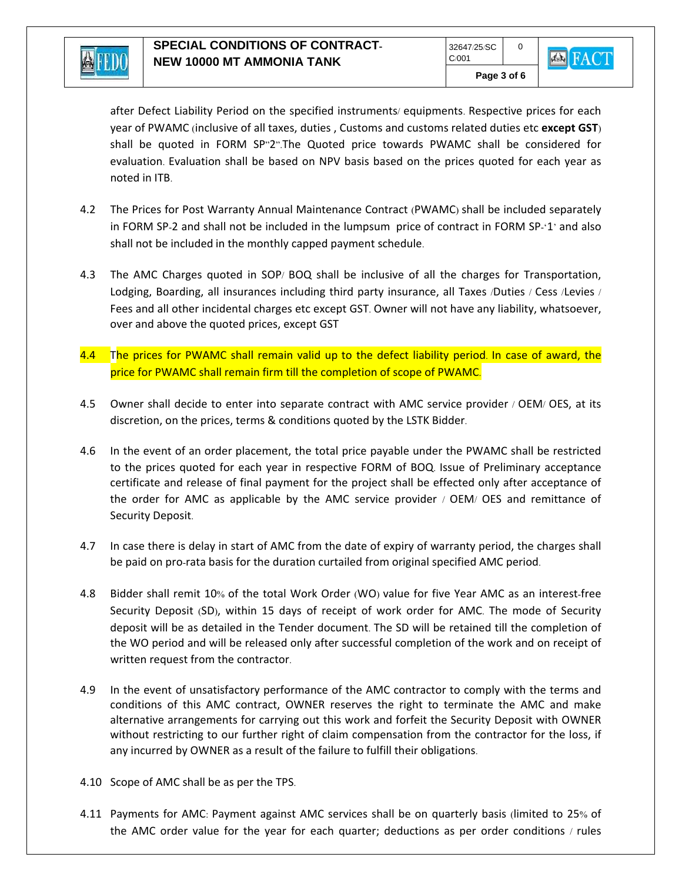

after Defect Liability Period on the specified instruments/ equipments. Respective prices for each year of PWAMC (inclusive of all taxes, duties , Customs and customs related duties etc **except GST**) shall be quoted in FORM SP"2".The Quoted price towards PWAMC shall be considered for evaluation. Evaluation shall be based on NPV basis based on the prices quoted for each year as noted in ITB.

- 4.2 The Prices for Post Warranty Annual Maintenance Contract (PWAMC) shall be included separately in FORM SP-2 and shall not be included in the lumpsum price of contract in FORM SP-'1' and also shall not be included in the monthly capped payment schedule.
- 4.3 The AMC Charges quoted in SOP/ BOQ shall be inclusive of all the charges for Transportation, Lodging, Boarding, all insurances including third party insurance, all Taxes /Duties / Cess /Levies / Fees and all other incidental charges etc except GST. Owner will not have any liability, whatsoever, over and above the quoted prices, except GST
- 4.4 The prices for PWAMC shall remain valid up to the defect liability period. In case of award, the price for PWAMC shall remain firm till the completion of scope of PWAMC.
- 4.5 Owner shall decide to enter into separate contract with AMC service provider / OEM/ OES, at its discretion, on the prices, terms & conditions quoted by the LSTK Bidder.
- 4.6 In the event of an order placement, the total price payable under the PWAMC shall be restricted to the prices quoted for each year in respective FORM of BOQ. Issue of Preliminary acceptance certificate and release of final payment for the project shall be effected only after acceptance of the order for AMC as applicable by the AMC service provider / OEM/ OES and remittance of Security Deposit.
- 4.7 In case there is delay in start of AMC from the date of expiry of warranty period, the charges shall be paid on pro-rata basis for the duration curtailed from original specified AMC period.
- 4.8 Bidder shall remit 10% of the total Work Order (WO) value for five Year AMC as an interest-free Security Deposit (SD), within 15 days of receipt of work order for AMC. The mode of Security deposit will be as detailed in the Tender document. The SD will be retained till the completion of the WO period and will be released only after successful completion of the work and on receipt of written request from the contractor.
- 4.9 In the event of unsatisfactory performance of the AMC contractor to comply with the terms and conditions of this AMC contract, OWNER reserves the right to terminate the AMC and make alternative arrangements for carrying out this work and forfeit the Security Deposit with OWNER without restricting to our further right of claim compensation from the contractor for the loss, if any incurred by OWNER as a result of the failure to fulfill their obligations.
- 4.10 Scope of AMC shall be as per the TPS.
- 4.11 Payments for AMC: Payment against AMC services shall be on quarterly basis (limited to 25% of the AMC order value for the year for each quarter; deductions as per order conditions / rules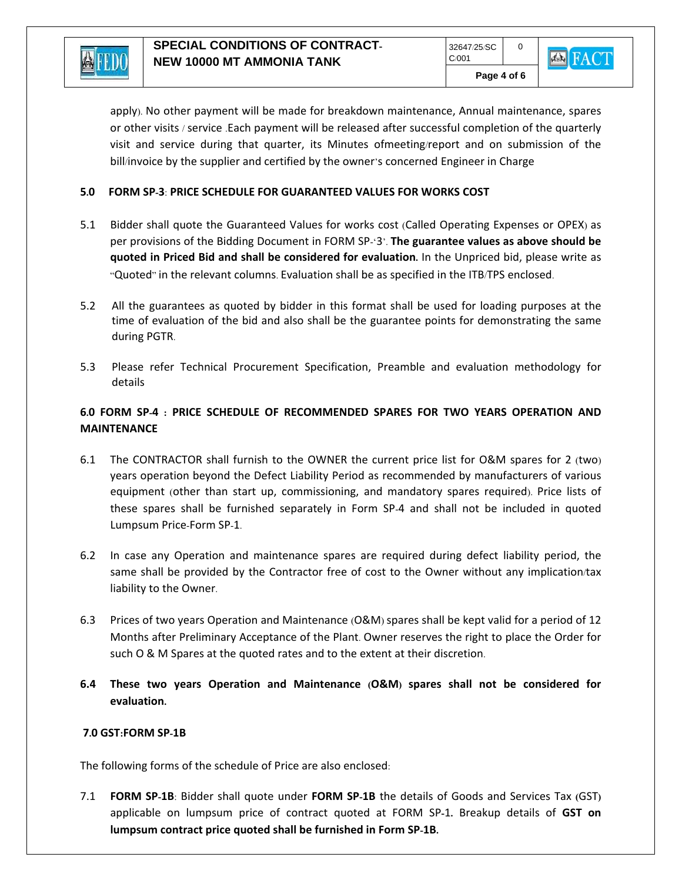

**Page 4 of 6** 

apply). No other payment will be made for breakdown maintenance, Annual maintenance, spares or other visits / service .Each payment will be released after successful completion of the quarterly visit and service during that quarter, its Minutes ofmeeting/report and on submission of the bill/invoice by the supplier and certified by the owner's concerned Engineer in Charge

## **5.0 FORM SP-3**: **PRICE SCHEDULE FOR GUARANTEED VALUES FOR WORKS COST**

- 5.1 Bidder shall quote the Guaranteed Values for works cost (Called Operating Expenses or OPEX) as per provisions of the Bidding Document in FORM SP-'3'. **The guarantee values as above should be quoted in Priced Bid and shall be considered for evaluation.** In the Unpriced bid, please write as "Quoted" in the relevant columns. Evaluation shall be as specified in the ITB/TPS enclosed.
- 5.2 All the guarantees as quoted by bidder in this format shall be used for loading purposes at the time of evaluation of the bid and also shall be the guarantee points for demonstrating the same during PGTR.
- 5.3 Please refer Technical Procurement Specification, Preamble and evaluation methodology for details

# **6.0 FORM SP-4 : PRICE SCHEDULE OF RECOMMENDED SPARES FOR TWO YEARS OPERATION AND MAINTENANCE**

- 6.1 The CONTRACTOR shall furnish to the OWNER the current price list for O&M spares for 2 (two) years operation beyond the Defect Liability Period as recommended by manufacturers of various equipment (other than start up, commissioning, and mandatory spares required). Price lists of these spares shall be furnished separately in Form SP-4 and shall not be included in quoted Lumpsum Price-Form SP-1.
- 6.2 In case any Operation and maintenance spares are required during defect liability period, the same shall be provided by the Contractor free of cost to the Owner without any implication/tax liability to the Owner.
- 6.3 Prices of two years Operation and Maintenance (O&M) spares shall be kept valid for a period of 12 Months after Preliminary Acceptance of the Plant. Owner reserves the right to place the Order for such O & M Spares at the quoted rates and to the extent at their discretion.
- **6.4 These two years Operation and Maintenance (O&M) spares shall not be considered for evaluation.**

## **7.0 GST:FORM SP-1B**

The following forms of the schedule of Price are also enclosed:

7.1 **FORM SP-1B**: Bidder shall quote under **FORM SP-1B** the details of Goods and Services Tax **(**GST**)**  applicable on lumpsum price of contract quoted at FORM SP**-**1**.** Breakup details of **GST on lumpsum contract price quoted shall be furnished in Form SP-1B.**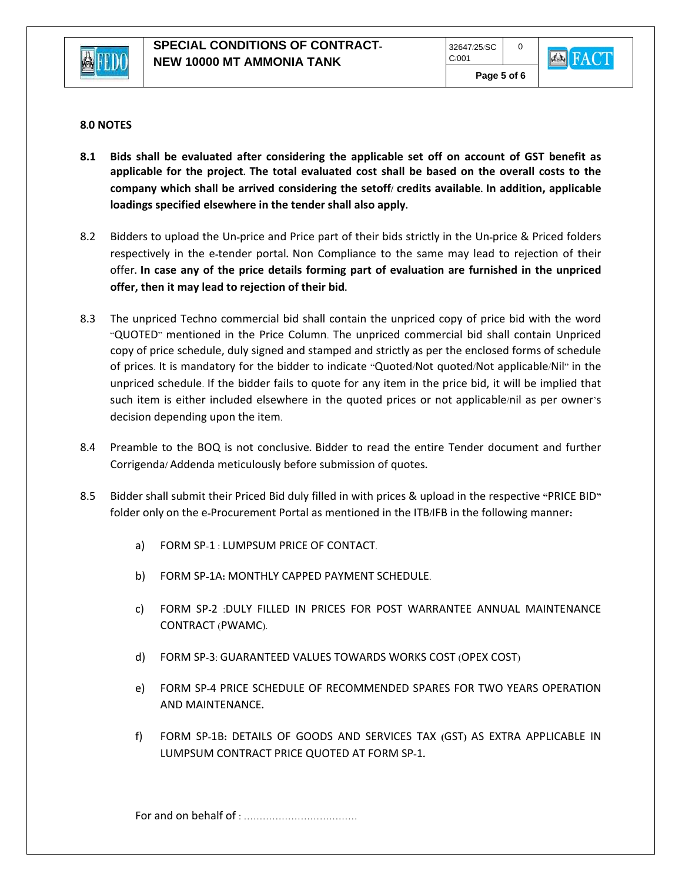



#### **8.0 NOTES**

- **8.1 Bids shall be evaluated after considering the applicable set off on account of GST benefit as applicable for the project. The total evaluated cost shall be based on the overall costs to the company which shall be arrived considering the setoff/ credits available. In addition, applicable loadings specified elsewhere in the tender shall also apply.**
- 8.2 Bidders to upload the Un**-**price and Price part of their bids strictly in the Un**-**price & Priced folders respectively in the e**-**tender portal**.** Non Compliance to the same may lead to rejection of their offer**. In case any of the price details forming part of evaluation are furnished in the unpriced offer, then it may lead to rejection of their bid.**
- 8.3 The unpriced Techno commercial bid shall contain the unpriced copy of price bid with the word "QUOTED" mentioned in the Price Column. The unpriced commercial bid shall contain Unpriced copy of price schedule, duly signed and stamped and strictly as per the enclosed forms of schedule of prices. It is mandatory for the bidder to indicate "Quoted/Not quoted/Not applicable/Nil" in the unpriced schedule. If the bidder fails to quote for any item in the price bid, it will be implied that such item is either included elsewhere in the quoted prices or not applicable/nil as per owner's decision depending upon the item.
- 8.4 Preamble to the BOQ is not conclusive**.** Bidder to read the entire Tender document and further Corrigenda**/** Addenda meticulously before submission of quotes**.**
- 8.5 Bidder shall submit their Priced Bid duly filled in with prices & upload in the respective **"**PRICE BID**"**  folder only on the e**-**Procurement Portal as mentioned in the ITB**/**IFB in the following manner**:**
	- a) FORM SP-1 : LUMPSUM PRICE OF CONTACT.
	- b) FORM SP**-**1A**:** MONTHLY CAPPED PAYMENT SCHEDULE.
	- c) FORM SP-2 :DULY FILLED IN PRICES FOR POST WARRANTEE ANNUAL MAINTENANCE CONTRACT (PWAMC).
	- d) FORM SP-3: GUARANTEED VALUES TOWARDS WORKS COST (OPEX COST)
	- e) FORM SP**-**4 PRICE SCHEDULE OF RECOMMENDED SPARES FOR TWO YEARS OPERATION AND MAINTENANCE**.**
	- f) FORM SP**-**1B**:** DETAILS OF GOODS AND SERVICES TAX **(**GST**)** AS EXTRA APPLICABLE IN LUMPSUM CONTRACT PRICE QUOTED AT FORM SP**-**1**.**

For and on behalf of : ………………………………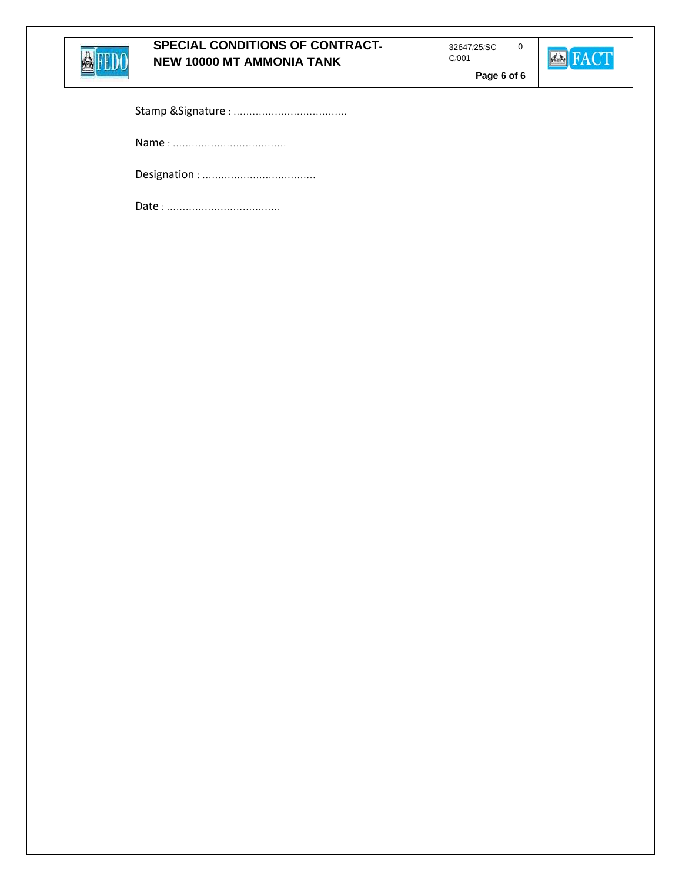

**Page 6 of 6** 

0



|--|--|

Name : ………………………………

Designation : ………………………………

Date : ………………………………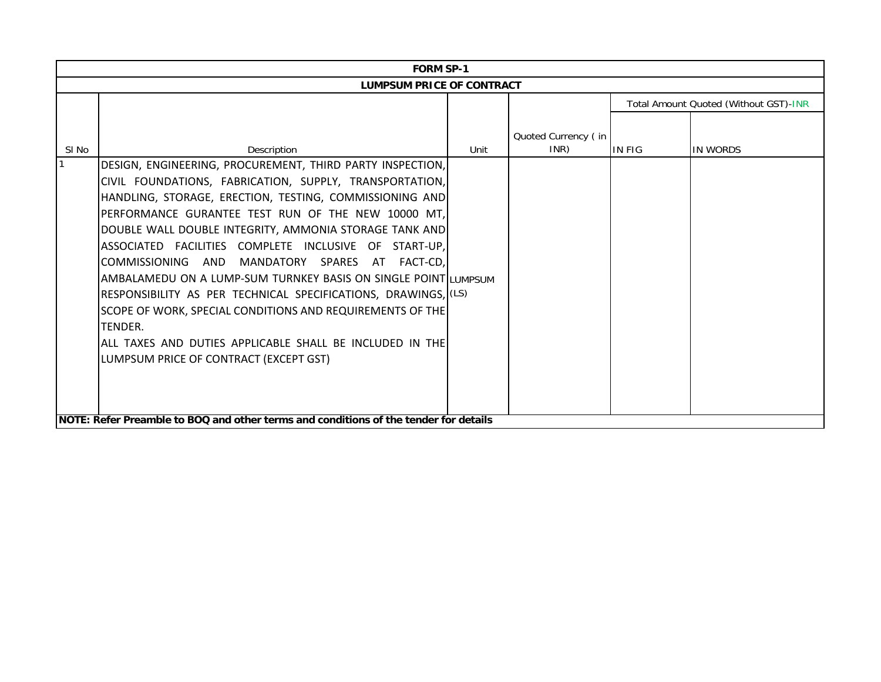| <b>FORM SP-1</b>                 |                                                                                      |      |                     |                                       |          |  |  |  |
|----------------------------------|--------------------------------------------------------------------------------------|------|---------------------|---------------------------------------|----------|--|--|--|
| <b>LUMPSUM PRICE OF CONTRACT</b> |                                                                                      |      |                     |                                       |          |  |  |  |
|                                  |                                                                                      |      |                     | Total Amount Quoted (Without GST)-INR |          |  |  |  |
|                                  |                                                                                      |      |                     |                                       |          |  |  |  |
|                                  |                                                                                      |      | Quoted Currency (in |                                       |          |  |  |  |
| SI No                            | Description                                                                          | Unit | INR)                | <b>IN FIG</b>                         | IN WORDS |  |  |  |
|                                  | DESIGN, ENGINEERING, PROCUREMENT, THIRD PARTY INSPECTION,                            |      |                     |                                       |          |  |  |  |
|                                  | CIVIL FOUNDATIONS, FABRICATION, SUPPLY, TRANSPORTATION,                              |      |                     |                                       |          |  |  |  |
|                                  | HANDLING, STORAGE, ERECTION, TESTING, COMMISSIONING AND                              |      |                     |                                       |          |  |  |  |
|                                  | PERFORMANCE GURANTEE TEST RUN OF THE NEW 10000 MT,                                   |      |                     |                                       |          |  |  |  |
|                                  | DOUBLE WALL DOUBLE INTEGRITY, AMMONIA STORAGE TANK AND                               |      |                     |                                       |          |  |  |  |
|                                  | ASSOCIATED FACILITIES COMPLETE INCLUSIVE OF START-UP,                                |      |                     |                                       |          |  |  |  |
|                                  | COMMISSIONING AND<br>MANDATORY SPARES<br>AT FACT-CD.                                 |      |                     |                                       |          |  |  |  |
|                                  | AMBALAMEDU ON A LUMP-SUM TURNKEY BASIS ON SINGLE POINTILUMPSUM                       |      |                     |                                       |          |  |  |  |
|                                  | RESPONSIBILITY AS PER TECHNICAL SPECIFICATIONS, DRAWINGS, (LS)                       |      |                     |                                       |          |  |  |  |
|                                  | SCOPE OF WORK, SPECIAL CONDITIONS AND REQUIREMENTS OF THE                            |      |                     |                                       |          |  |  |  |
|                                  | TENDER.                                                                              |      |                     |                                       |          |  |  |  |
|                                  | ALL TAXES AND DUTIES APPLICABLE SHALL BE INCLUDED IN THE                             |      |                     |                                       |          |  |  |  |
|                                  | LUMPSUM PRICE OF CONTRACT (EXCEPT GST)                                               |      |                     |                                       |          |  |  |  |
|                                  |                                                                                      |      |                     |                                       |          |  |  |  |
|                                  |                                                                                      |      |                     |                                       |          |  |  |  |
|                                  |                                                                                      |      |                     |                                       |          |  |  |  |
|                                  | NOTE: Refer Preamble to BOQ and other terms and conditions of the tender for details |      |                     |                                       |          |  |  |  |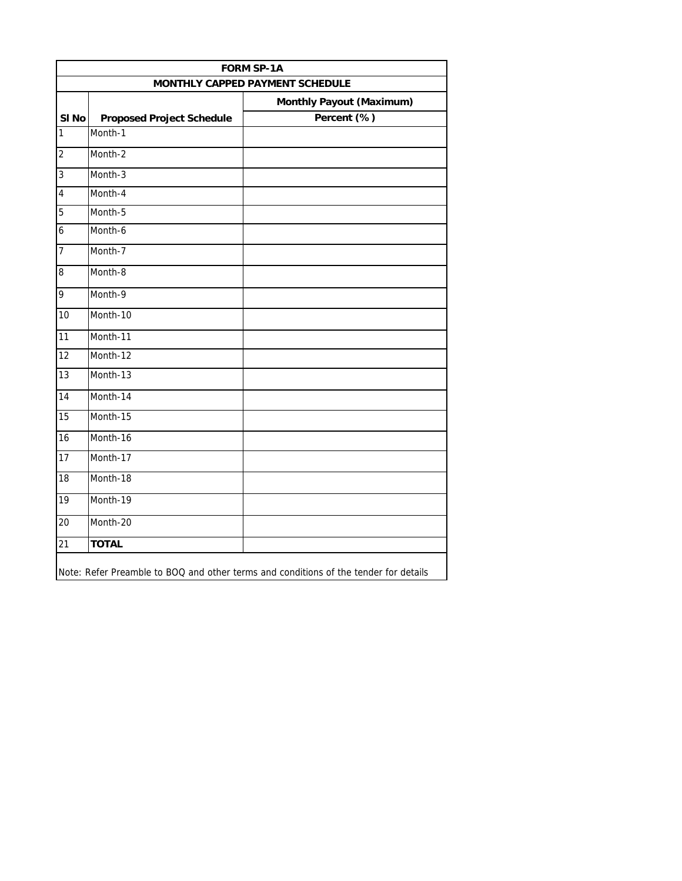|                                                                    |                                  | <b>FORM SP-1A</b> |  |  |  |  |
|--------------------------------------------------------------------|----------------------------------|-------------------|--|--|--|--|
| MONTHLY CAPPED PAYMENT SCHEDULE<br><b>Monthly Payout (Maximum)</b> |                                  |                   |  |  |  |  |
| SI <sub>No</sub>                                                   | <b>Proposed Project Schedule</b> | Percent (%)       |  |  |  |  |
| $\mathbf{1}$                                                       | Month-1                          |                   |  |  |  |  |
| $\overline{2}$                                                     | Month-2                          |                   |  |  |  |  |
| 3                                                                  | Month-3                          |                   |  |  |  |  |
| $\overline{4}$                                                     | Month-4                          |                   |  |  |  |  |
| 5                                                                  | Month-5                          |                   |  |  |  |  |
| 6                                                                  | Month-6                          |                   |  |  |  |  |
| 7                                                                  | Month-7                          |                   |  |  |  |  |
| $\bf 8$                                                            | Month-8                          |                   |  |  |  |  |
| $\overline{9}$                                                     | Month-9                          |                   |  |  |  |  |
| 10                                                                 | Month-10                         |                   |  |  |  |  |
| 11                                                                 | Month-11                         |                   |  |  |  |  |
| 12                                                                 | Month-12                         |                   |  |  |  |  |
| 13                                                                 | Month-13                         |                   |  |  |  |  |
| $\overline{14}$                                                    | Month-14                         |                   |  |  |  |  |
| 15                                                                 | Month-15                         |                   |  |  |  |  |
| 16                                                                 | Month-16                         |                   |  |  |  |  |
| $\overline{17}$                                                    | Month-17                         |                   |  |  |  |  |
| $\overline{18}$                                                    | Month-18                         |                   |  |  |  |  |
| $\overline{19}$                                                    | Month-19                         |                   |  |  |  |  |
| 20                                                                 | Month-20                         |                   |  |  |  |  |
| 21                                                                 | <b>TOTAL</b>                     |                   |  |  |  |  |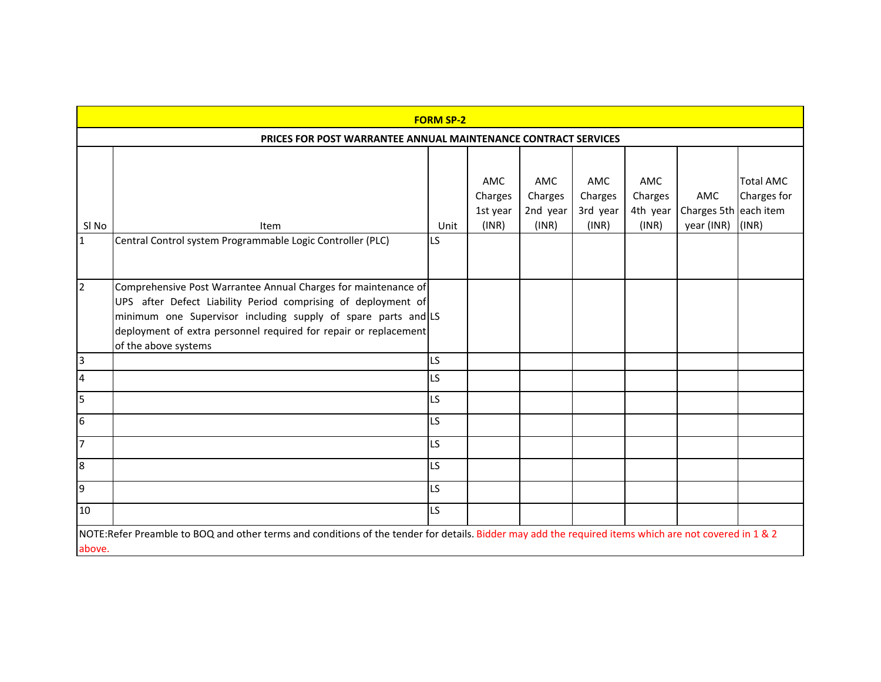| <b>FORM SP-2</b>                                               |                                                                                                                                                                                                                                                                                              |      |                                     |                                     |                                            |                                     |                                            |                                          |
|----------------------------------------------------------------|----------------------------------------------------------------------------------------------------------------------------------------------------------------------------------------------------------------------------------------------------------------------------------------------|------|-------------------------------------|-------------------------------------|--------------------------------------------|-------------------------------------|--------------------------------------------|------------------------------------------|
| PRICES FOR POST WARRANTEE ANNUAL MAINTENANCE CONTRACT SERVICES |                                                                                                                                                                                                                                                                                              |      |                                     |                                     |                                            |                                     |                                            |                                          |
| SI <sub>No</sub>                                               | Item                                                                                                                                                                                                                                                                                         | Unit | AMC<br>Charges<br>1st year<br>(INR) | AMC<br>Charges<br>2nd year<br>(INR) | <b>AMC</b><br>Charges<br>3rd year<br>(INR) | AMC<br>Charges<br>4th year<br>(INR) | AMC<br>Charges 5th each item<br>year (INR) | <b>Total AMC</b><br>Charges for<br>(INR) |
| $\mathbf{1}$                                                   | Central Control system Programmable Logic Controller (PLC)                                                                                                                                                                                                                                   | LS.  |                                     |                                     |                                            |                                     |                                            |                                          |
| $\overline{2}$                                                 | Comprehensive Post Warrantee Annual Charges for maintenance of<br>UPS after Defect Liability Period comprising of deployment of<br>minimum one Supervisor including supply of spare parts and LS<br>deployment of extra personnel required for repair or replacement<br>of the above systems |      |                                     |                                     |                                            |                                     |                                            |                                          |
| $\overline{3}$                                                 |                                                                                                                                                                                                                                                                                              | LS.  |                                     |                                     |                                            |                                     |                                            |                                          |
| $\overline{4}$                                                 |                                                                                                                                                                                                                                                                                              | LS   |                                     |                                     |                                            |                                     |                                            |                                          |
| 5                                                              |                                                                                                                                                                                                                                                                                              | LS   |                                     |                                     |                                            |                                     |                                            |                                          |
| 6                                                              |                                                                                                                                                                                                                                                                                              | LS.  |                                     |                                     |                                            |                                     |                                            |                                          |
| $\overline{7}$                                                 |                                                                                                                                                                                                                                                                                              | LS.  |                                     |                                     |                                            |                                     |                                            |                                          |
| 8                                                              |                                                                                                                                                                                                                                                                                              | LS   |                                     |                                     |                                            |                                     |                                            |                                          |
| 9                                                              |                                                                                                                                                                                                                                                                                              | LS   |                                     |                                     |                                            |                                     |                                            |                                          |
| 10                                                             |                                                                                                                                                                                                                                                                                              | LS.  |                                     |                                     |                                            |                                     |                                            |                                          |
| above.                                                         | NOTE:Refer Preamble to BOQ and other terms and conditions of the tender for details. Bidder may add the required items which are not covered in 1 & 2                                                                                                                                        |      |                                     |                                     |                                            |                                     |                                            |                                          |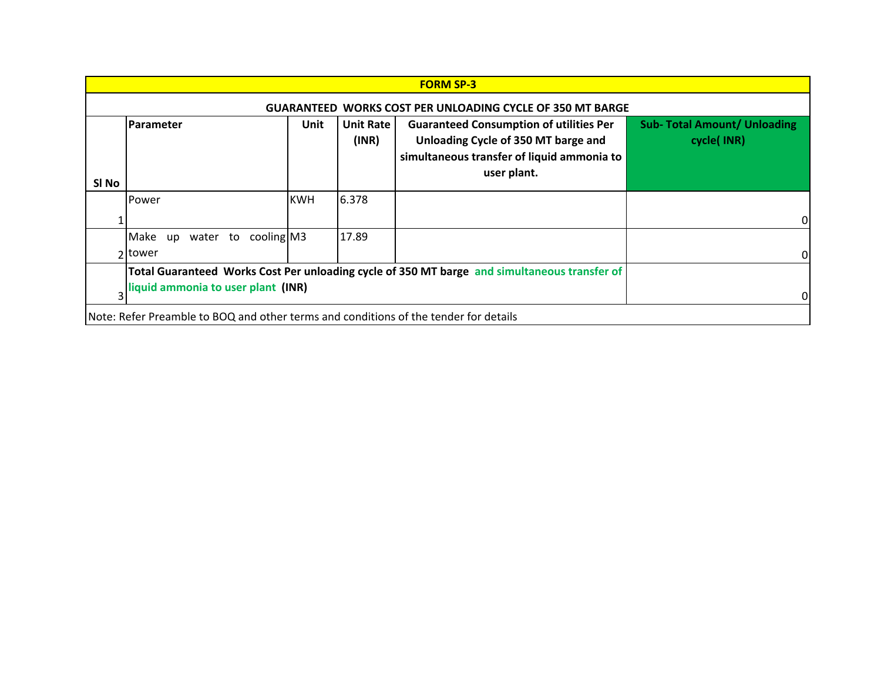|       | <b>FORM SP-3</b>                                                                                                                   |                                                   |       |  |   |  |  |  |  |
|-------|------------------------------------------------------------------------------------------------------------------------------------|---------------------------------------------------|-------|--|---|--|--|--|--|
|       | WORKS COST PER UNLOADING CYCLE OF 350 MT BARGE<br><b>GUARANTEED</b>                                                                |                                                   |       |  |   |  |  |  |  |
| SI No | <b>Parameter</b>                                                                                                                   | <b>Sub- Total Amount/ Unloading</b><br>cycle(INR) |       |  |   |  |  |  |  |
|       | Power                                                                                                                              | <b>KWH</b>                                        | 6.378 |  | 0 |  |  |  |  |
|       | cooling M3<br>Make<br>water to<br>up<br>2 Itower                                                                                   |                                                   | 17.89 |  | 0 |  |  |  |  |
|       | Total Guaranteed Works Cost Per unloading cycle of 350 MT barge and simultaneous transfer of<br>liquid ammonia to user plant (INR) | 0                                                 |       |  |   |  |  |  |  |
|       | Note: Refer Preamble to BOQ and other terms and conditions of the tender for details                                               |                                                   |       |  |   |  |  |  |  |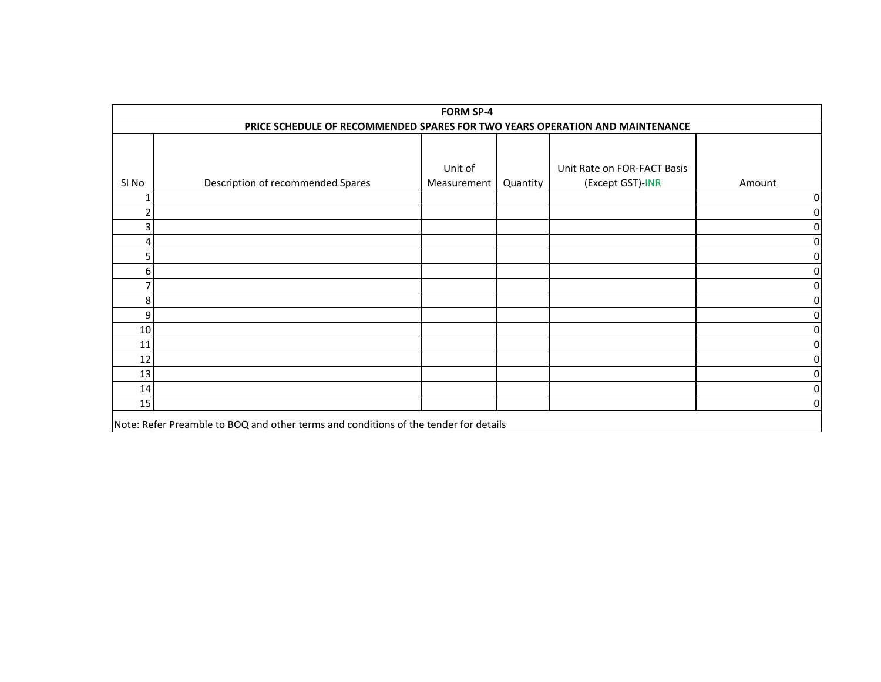| <b>FORM SP-4</b>                                                                     |                                   |                        |          |                                                 |                |  |  |
|--------------------------------------------------------------------------------------|-----------------------------------|------------------------|----------|-------------------------------------------------|----------------|--|--|
| PRICE SCHEDULE OF RECOMMENDED SPARES FOR TWO YEARS OPERATION AND MAINTENANCE         |                                   |                        |          |                                                 |                |  |  |
| SI No                                                                                | Description of recommended Spares | Unit of<br>Measurement | Quantity | Unit Rate on FOR-FACT Basis<br>(Except GST)-INR | Amount         |  |  |
|                                                                                      |                                   |                        |          |                                                 | 0              |  |  |
|                                                                                      |                                   |                        |          |                                                 | 0              |  |  |
|                                                                                      |                                   |                        |          |                                                 | 0              |  |  |
|                                                                                      |                                   |                        |          |                                                 | 0              |  |  |
|                                                                                      |                                   |                        |          |                                                 | 0              |  |  |
| 6                                                                                    |                                   |                        |          |                                                 | 0              |  |  |
|                                                                                      |                                   |                        |          |                                                 | $\overline{0}$ |  |  |
| 8                                                                                    |                                   |                        |          |                                                 | 0              |  |  |
| 9                                                                                    |                                   |                        |          |                                                 | $\overline{0}$ |  |  |
| 10                                                                                   |                                   |                        |          |                                                 | $\overline{0}$ |  |  |
| 11                                                                                   |                                   |                        |          |                                                 | 0              |  |  |
| 12                                                                                   |                                   |                        |          |                                                 | 0              |  |  |
| 13                                                                                   |                                   |                        |          |                                                 | $\overline{0}$ |  |  |
| 14                                                                                   |                                   |                        |          |                                                 | 0              |  |  |
| 15                                                                                   |                                   |                        |          |                                                 | $\overline{0}$ |  |  |
| Note: Refer Preamble to BOQ and other terms and conditions of the tender for details |                                   |                        |          |                                                 |                |  |  |